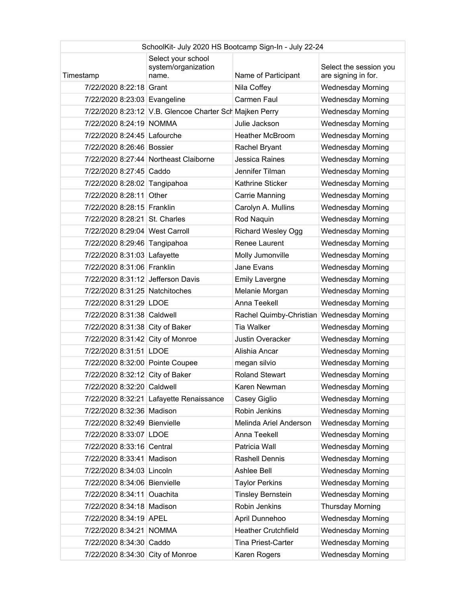| SchoolKit- July 2020 HS Bootcamp Sign-In - July 22-24 |                                                         |                            |                                               |
|-------------------------------------------------------|---------------------------------------------------------|----------------------------|-----------------------------------------------|
| Timestamp                                             | Select your school<br>system/organization<br>name.      | Name of Participant        | Select the session you<br>are signing in for. |
| 7/22/2020 8:22:18 Grant                               |                                                         | Nila Coffey                | <b>Wednesday Morning</b>                      |
| 7/22/2020 8:23:03 Evangeline                          |                                                         | Carmen Faul                | <b>Wednesday Morning</b>                      |
|                                                       | 7/22/2020 8:23:12 V.B. Glencoe Charter Sch Majken Perry |                            | <b>Wednesday Morning</b>                      |
| 7/22/2020 8:24:19 NOMMA                               |                                                         | Julie Jackson              | <b>Wednesday Morning</b>                      |
| 7/22/2020 8:24:45 Lafourche                           |                                                         | <b>Heather McBroom</b>     | <b>Wednesday Morning</b>                      |
| 7/22/2020 8:26:46 Bossier                             |                                                         | Rachel Bryant              | <b>Wednesday Morning</b>                      |
|                                                       | 7/22/2020 8:27:44 Northeast Claiborne                   | <b>Jessica Raines</b>      | <b>Wednesday Morning</b>                      |
| 7/22/2020 8:27:45 Caddo                               |                                                         | Jennifer Tilman            | <b>Wednesday Morning</b>                      |
| 7/22/2020 8:28:02 Tangipahoa                          |                                                         | Kathrine Sticker           | <b>Wednesday Morning</b>                      |
| 7/22/2020 8:28:11                                     | Other                                                   | Carrie Manning             | <b>Wednesday Morning</b>                      |
| 7/22/2020 8:28:15 Franklin                            |                                                         | Carolyn A. Mullins         | <b>Wednesday Morning</b>                      |
| 7/22/2020 8:28:21 St. Charles                         |                                                         | Rod Naquin                 | <b>Wednesday Morning</b>                      |
| 7/22/2020 8:29:04 West Carroll                        |                                                         | <b>Richard Wesley Ogg</b>  | <b>Wednesday Morning</b>                      |
| 7/22/2020 8:29:46 Tangipahoa                          |                                                         | Renee Laurent              | <b>Wednesday Morning</b>                      |
| 7/22/2020 8:31:03 Lafayette                           |                                                         | Molly Jumonville           | <b>Wednesday Morning</b>                      |
| 7/22/2020 8:31:06 Franklin                            |                                                         | Jane Evans                 | <b>Wednesday Morning</b>                      |
| 7/22/2020 8:31:12 Jefferson Davis                     |                                                         | <b>Emily Lavergne</b>      | <b>Wednesday Morning</b>                      |
| 7/22/2020 8:31:25 Natchitoches                        |                                                         | Melanie Morgan             | <b>Wednesday Morning</b>                      |
| 7/22/2020 8:31:29 LDOE                                |                                                         | Anna Teekell               | <b>Wednesday Morning</b>                      |
| 7/22/2020 8:31:38 Caldwell                            |                                                         | Rachel Quimby-Christian    | <b>Wednesday Morning</b>                      |
| 7/22/2020 8:31:38 City of Baker                       |                                                         | <b>Tia Walker</b>          | <b>Wednesday Morning</b>                      |
| 7/22/2020 8:31:42 City of Monroe                      |                                                         | Justin Overacker           | <b>Wednesday Morning</b>                      |
| 7/22/2020 8:31:51 LDOE                                |                                                         | Alishia Ancar              | <b>Wednesday Morning</b>                      |
| 7/22/2020 8:32:00 Pointe Coupee                       |                                                         | megan silvio               | <b>Wednesday Morning</b>                      |
| 7/22/2020 8:32:12 City of Baker                       |                                                         | <b>Roland Stewart</b>      | <b>Wednesday Morning</b>                      |
| 7/22/2020 8:32:20 Caldwell                            |                                                         | Karen Newman               | <b>Wednesday Morning</b>                      |
|                                                       | 7/22/2020 8:32:21 Lafayette Renaissance                 | Casey Giglio               | <b>Wednesday Morning</b>                      |
| 7/22/2020 8:32:36 Madison                             |                                                         | Robin Jenkins              | <b>Wednesday Morning</b>                      |
| 7/22/2020 8:32:49 Bienvielle                          |                                                         | Melinda Ariel Anderson     | <b>Wednesday Morning</b>                      |
| 7/22/2020 8:33:07 LDOE                                |                                                         | Anna Teekell               | <b>Wednesday Morning</b>                      |
| 7/22/2020 8:33:16 Central                             |                                                         | Patricia Wall              | <b>Wednesday Morning</b>                      |
| 7/22/2020 8:33:41 Madison                             |                                                         | Rashell Dennis             | <b>Wednesday Morning</b>                      |
| 7/22/2020 8:34:03 Lincoln                             |                                                         | Ashlee Bell                | <b>Wednesday Morning</b>                      |
| 7/22/2020 8:34:06 Bienvielle                          |                                                         | <b>Taylor Perkins</b>      | <b>Wednesday Morning</b>                      |
| 7/22/2020 8:34:11                                     | Ouachita                                                | <b>Tinsley Bernstein</b>   | <b>Wednesday Morning</b>                      |
| 7/22/2020 8:34:18 Madison                             |                                                         | Robin Jenkins              | <b>Thursday Morning</b>                       |
| 7/22/2020 8:34:19 APEL                                |                                                         | April Dunnehoo             | <b>Wednesday Morning</b>                      |
| 7/22/2020 8:34:21 NOMMA                               |                                                         | <b>Heather Crutchfield</b> | <b>Wednesday Morning</b>                      |
| 7/22/2020 8:34:30 Caddo                               |                                                         | <b>Tina Priest-Carter</b>  | <b>Wednesday Morning</b>                      |
| 7/22/2020 8:34:30 City of Monroe                      |                                                         | Karen Rogers               | <b>Wednesday Morning</b>                      |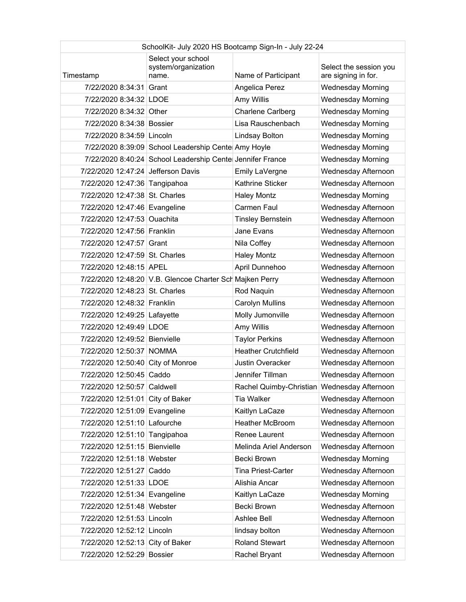| SchoolKit- July 2020 HS Bootcamp Sign-In - July 22-24 |                                                           |                                             |                                               |
|-------------------------------------------------------|-----------------------------------------------------------|---------------------------------------------|-----------------------------------------------|
| Timestamp                                             | Select your school<br>system/organization<br>name.        | Name of Participant                         | Select the session you<br>are signing in for. |
| 7/22/2020 8:34:31 Grant                               |                                                           | Angelica Perez                              | <b>Wednesday Morning</b>                      |
| 7/22/2020 8:34:32 LDOE                                |                                                           | Amy Willis                                  | <b>Wednesday Morning</b>                      |
| 7/22/2020 8:34:32 Other                               |                                                           | <b>Charlene Carlberg</b>                    | <b>Wednesday Morning</b>                      |
| 7/22/2020 8:34:38 Bossier                             |                                                           | Lisa Rauschenbach                           | <b>Wednesday Morning</b>                      |
| 7/22/2020 8:34:59 Lincoln                             |                                                           | Lindsay Bolton                              | <b>Wednesday Morning</b>                      |
|                                                       | 7/22/2020 8:39:09 School Leadership Cente Amy Hoyle       |                                             | <b>Wednesday Morning</b>                      |
|                                                       | 7/22/2020 8:40:24 School Leadership Cente Jennifer France |                                             | <b>Wednesday Morning</b>                      |
| 7/22/2020 12:47:24 Jefferson Davis                    |                                                           | Emily LaVergne                              | Wednesday Afternoon                           |
| 7/22/2020 12:47:36 Tangipahoa                         |                                                           | Kathrine Sticker                            | Wednesday Afternoon                           |
| 7/22/2020 12:47:38 St. Charles                        |                                                           | <b>Haley Montz</b>                          | <b>Wednesday Morning</b>                      |
| 7/22/2020 12:47:46 Evangeline                         |                                                           | Carmen Faul                                 | Wednesday Afternoon                           |
| 7/22/2020 12:47:53 Ouachita                           |                                                           | <b>Tinsley Bernstein</b>                    | Wednesday Afternoon                           |
| 7/22/2020 12:47:56 Franklin                           |                                                           | Jane Evans                                  | Wednesday Afternoon                           |
| 7/22/2020 12:47:57 Grant                              |                                                           | Nila Coffey                                 | Wednesday Afternoon                           |
| 7/22/2020 12:47:59 St. Charles                        |                                                           | <b>Haley Montz</b>                          | Wednesday Afternoon                           |
| 7/22/2020 12:48:15 APEL                               |                                                           | April Dunnehoo                              | Wednesday Afternoon                           |
|                                                       | 7/22/2020 12:48:20 V.B. Glencoe Charter Sch Majken Perry  |                                             | Wednesday Afternoon                           |
| 7/22/2020 12:48:23 St. Charles                        |                                                           | Rod Naquin                                  | Wednesday Afternoon                           |
| 7/22/2020 12:48:32 Franklin                           |                                                           | <b>Carolyn Mullins</b>                      | Wednesday Afternoon                           |
| 7/22/2020 12:49:25 Lafayette                          |                                                           | Molly Jumonville                            | Wednesday Afternoon                           |
| 7/22/2020 12:49:49 LDOE                               |                                                           | Amy Willis                                  | Wednesday Afternoon                           |
| 7/22/2020 12:49:52 Bienvielle                         |                                                           | <b>Taylor Perkins</b>                       | Wednesday Afternoon                           |
| 7/22/2020 12:50:37 NOMMA                              |                                                           | <b>Heather Crutchfield</b>                  | Wednesday Afternoon                           |
| 7/22/2020 12:50:40 City of Monroe                     |                                                           | <b>Justin Overacker</b>                     | Wednesday Afternoon                           |
| 7/22/2020 12:50:45 Caddo                              |                                                           | Jennifer Tillman                            | Wednesday Afternoon                           |
| 7/22/2020 12:50:57 Caldwell                           |                                                           | Rachel Quimby-Christian Wednesday Afternoon |                                               |
| 7/22/2020 12:51:01 City of Baker                      |                                                           | <b>Tia Walker</b>                           | Wednesday Afternoon                           |
| 7/22/2020 12:51:09 Evangeline                         |                                                           | Kaitlyn LaCaze                              | Wednesday Afternoon                           |
| 7/22/2020 12:51:10 Lafourche                          |                                                           | <b>Heather McBroom</b>                      | Wednesday Afternoon                           |
| 7/22/2020 12:51:10 Tangipahoa                         |                                                           | Renee Laurent                               | Wednesday Afternoon                           |
| 7/22/2020 12:51:15 Bienvielle                         |                                                           | Melinda Ariel Anderson                      | Wednesday Afternoon                           |
| 7/22/2020 12:51:18 Webster                            |                                                           | Becki Brown                                 | <b>Wednesday Morning</b>                      |
| 7/22/2020 12:51:27 Caddo                              |                                                           | <b>Tina Priest-Carter</b>                   | Wednesday Afternoon                           |
| 7/22/2020 12:51:33 LDOE                               |                                                           | Alishia Ancar                               | Wednesday Afternoon                           |
| 7/22/2020 12:51:34 Evangeline                         |                                                           | Kaitlyn LaCaze                              | <b>Wednesday Morning</b>                      |
| 7/22/2020 12:51:48 Webster                            |                                                           | Becki Brown                                 | Wednesday Afternoon                           |
| 7/22/2020 12:51:53 Lincoln                            |                                                           | Ashlee Bell                                 | Wednesday Afternoon                           |
| 7/22/2020 12:52:12 Lincoln                            |                                                           | lindsay bolton                              | Wednesday Afternoon                           |
| 7/22/2020 12:52:13 City of Baker                      |                                                           | <b>Roland Stewart</b>                       | Wednesday Afternoon                           |
| 7/22/2020 12:52:29 Bossier                            |                                                           | Rachel Bryant                               | Wednesday Afternoon                           |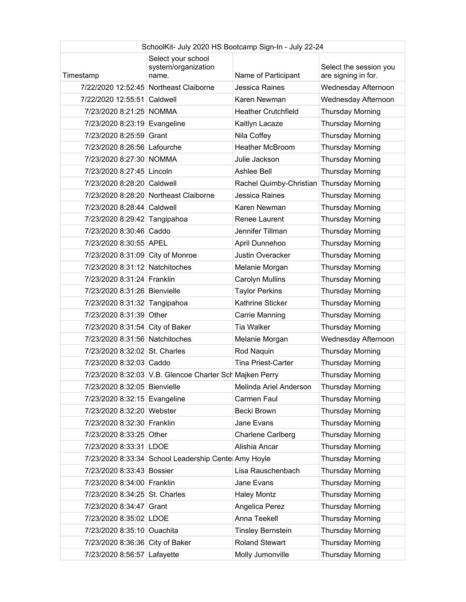| SchoolKit- July 2020 HS Bootcamp Sign-In - July 22-24 |                                                         |                            |                                               |
|-------------------------------------------------------|---------------------------------------------------------|----------------------------|-----------------------------------------------|
| Timestamp                                             | Select your school<br>system/organization<br>name.      | Name of Participant        | Select the session you<br>are signing in for. |
|                                                       | 7/22/2020 12:52:45 Northeast Claiborne                  | Jessica Raines             | Wednesday Afternoon                           |
| 7/22/2020 12:55:51 Caldwell                           |                                                         | Karen Newman               | Wednesday Afternoon                           |
| 7/23/2020 8:21:25 NOMMA                               |                                                         | <b>Heather Crutchfield</b> | <b>Thursday Morning</b>                       |
| 7/23/2020 8:23:19 Evangeline                          |                                                         | Kaitlyn Lacaze             | <b>Thursday Morning</b>                       |
| 7/23/2020 8:25:59 Grant                               |                                                         | Nila Coffey                | <b>Thursday Morning</b>                       |
| 7/23/2020 8:26:56 Lafourche                           |                                                         | <b>Heather McBroom</b>     | <b>Thursday Morning</b>                       |
| 7/23/2020 8:27:30 NOMMA                               |                                                         | Julie Jackson              | <b>Thursday Morning</b>                       |
| 7/23/2020 8:27:45 Lincoln                             |                                                         | Ashlee Bell                | <b>Thursday Morning</b>                       |
| 7/23/2020 8:28:20 Caldwell                            |                                                         | Rachel Quimby-Christian    | <b>Thursday Morning</b>                       |
|                                                       | 7/23/2020 8:28:20 Northeast Claiborne                   | <b>Jessica Raines</b>      | <b>Thursday Morning</b>                       |
| 7/23/2020 8:28:44 Caldwell                            |                                                         | Karen Newman               | <b>Thursday Morning</b>                       |
| 7/23/2020 8:29:42 Tangipahoa                          |                                                         | Renee Laurent              | <b>Thursday Morning</b>                       |
| 7/23/2020 8:30:46 Caddo                               |                                                         | Jennifer Tillman           | <b>Thursday Morning</b>                       |
| 7/23/2020 8:30:55 APEL                                |                                                         | April Dunnehoo             | <b>Thursday Morning</b>                       |
| 7/23/2020 8:31:09 City of Monroe                      |                                                         | <b>Justin Overacker</b>    | <b>Thursday Morning</b>                       |
| 7/23/2020 8:31:12 Natchitoches                        |                                                         | Melanie Morgan             | <b>Thursday Morning</b>                       |
| 7/23/2020 8:31:24 Franklin                            |                                                         | <b>Carolyn Mullins</b>     | <b>Thursday Morning</b>                       |
| 7/23/2020 8:31:26 Bienvielle                          |                                                         | <b>Taylor Perkins</b>      | <b>Thursday Morning</b>                       |
| 7/23/2020 8:31:32 Tangipahoa                          |                                                         | Kathrine Sticker           | <b>Thursday Morning</b>                       |
| 7/23/2020 8:31:39 Other                               |                                                         | Carrie Manning             | <b>Thursday Morning</b>                       |
| 7/23/2020 8:31:54 City of Baker                       |                                                         | <b>Tia Walker</b>          | <b>Thursday Morning</b>                       |
| 7/23/2020 8:31:56 Natchitoches                        |                                                         | Melanie Morgan             | Wednesday Afternoon                           |
| 7/23/2020 8:32:02 St. Charles                         |                                                         | Rod Naquin                 | <b>Thursday Morning</b>                       |
| 7/23/2020 8:32:03 Caddo                               |                                                         | <b>Tina Priest-Carter</b>  | <b>Thursday Morning</b>                       |
|                                                       | 7/23/2020 8:32:03 V.B. Glencoe Charter Sch Majken Perry |                            | <b>Thursday Morning</b>                       |
| 7/23/2020 8:32:05 Bienvielle                          |                                                         | Melinda Ariel Anderson     | <b>Thursday Morning</b>                       |
| 7/23/2020 8:32:15 Evangeline                          |                                                         | Carmen Faul                | <b>Thursday Morning</b>                       |
| 7/23/2020 8:32:20 Webster                             |                                                         | Becki Brown                | <b>Thursday Morning</b>                       |
| 7/23/2020 8:32:30 Franklin                            |                                                         | Jane Evans                 | <b>Thursday Morning</b>                       |
| 7/23/2020 8:33:25 Other                               |                                                         | <b>Charlene Carlberg</b>   | <b>Thursday Morning</b>                       |
| 7/23/2020 8:33:31 LDOE                                |                                                         | Alishia Ancar              | <b>Thursday Morning</b>                       |
|                                                       | 7/23/2020 8:33:34 School Leadership Cente Amy Hoyle     |                            | <b>Thursday Morning</b>                       |
| 7/23/2020 8:33:43 Bossier                             |                                                         | Lisa Rauschenbach          | <b>Thursday Morning</b>                       |
| 7/23/2020 8:34:00 Franklin                            |                                                         | Jane Evans                 | <b>Thursday Morning</b>                       |
| 7/23/2020 8:34:25 St. Charles                         |                                                         | <b>Haley Montz</b>         | <b>Thursday Morning</b>                       |
| 7/23/2020 8:34:47 Grant                               |                                                         | Angelica Perez             | <b>Thursday Morning</b>                       |
| 7/23/2020 8:35:02 LDOE                                |                                                         | Anna Teekell               | <b>Thursday Morning</b>                       |
| 7/23/2020 8:35:10 Ouachita                            |                                                         | <b>Tinsley Bernstein</b>   | <b>Thursday Morning</b>                       |
| 7/23/2020 8:36:36 City of Baker                       |                                                         | <b>Roland Stewart</b>      | <b>Thursday Morning</b>                       |
| 7/23/2020 8:56:57 Lafayette                           |                                                         | Molly Jumonville           | Thursday Morning                              |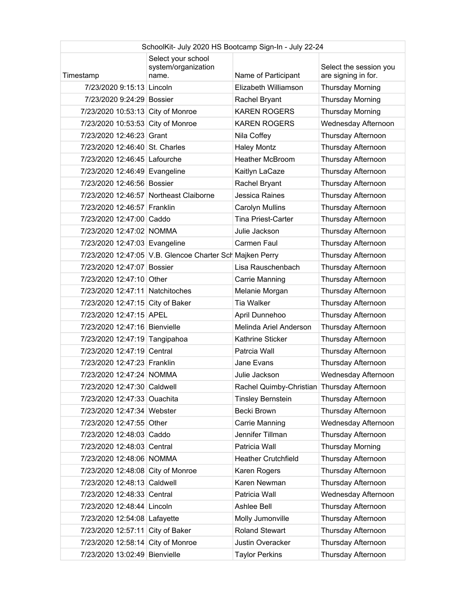| SchoolKit- July 2020 HS Bootcamp Sign-In - July 22-24 |                                                          |                                            |                                               |
|-------------------------------------------------------|----------------------------------------------------------|--------------------------------------------|-----------------------------------------------|
| Timestamp                                             | Select your school<br>system/organization<br>name.       | Name of Participant                        | Select the session you<br>are signing in for. |
| 7/23/2020 9:15:13 Lincoln                             |                                                          | <b>Flizabeth Williamson</b>                | <b>Thursday Morning</b>                       |
| 7/23/2020 9:24:29 Bossier                             |                                                          | Rachel Bryant                              | <b>Thursday Morning</b>                       |
| 7/23/2020 10:53:13 City of Monroe                     |                                                          | <b>KAREN ROGERS</b>                        | <b>Thursday Morning</b>                       |
| 7/23/2020 10:53:53 City of Monroe                     |                                                          | <b>KAREN ROGERS</b>                        | Wednesday Afternoon                           |
| 7/23/2020 12:46:23 Grant                              |                                                          | Nila Coffey                                | Thursday Afternoon                            |
| 7/23/2020 12:46:40 St. Charles                        |                                                          | <b>Haley Montz</b>                         | Thursday Afternoon                            |
| 7/23/2020 12:46:45 Lafourche                          |                                                          | <b>Heather McBroom</b>                     | Thursday Afternoon                            |
| 7/23/2020 12:46:49 Evangeline                         |                                                          | Kaitlyn LaCaze                             | Thursday Afternoon                            |
| 7/23/2020 12:46:56 Bossier                            |                                                          | Rachel Bryant                              | Thursday Afternoon                            |
|                                                       | 7/23/2020 12:46:57 Northeast Claiborne                   | <b>Jessica Raines</b>                      | Thursday Afternoon                            |
| 7/23/2020 12:46:57 Franklin                           |                                                          | <b>Carolyn Mullins</b>                     | Thursday Afternoon                            |
| 7/23/2020 12:47:00 Caddo                              |                                                          | <b>Tina Priest-Carter</b>                  | Thursday Afternoon                            |
| 7/23/2020 12:47:02 NOMMA                              |                                                          | Julie Jackson                              | Thursday Afternoon                            |
| 7/23/2020 12:47:03 Evangeline                         |                                                          | Carmen Faul                                | Thursday Afternoon                            |
|                                                       | 7/23/2020 12:47:05 V.B. Glencoe Charter Sch Majken Perry |                                            | Thursday Afternoon                            |
| 7/23/2020 12:47:07 Bossier                            |                                                          | Lisa Rauschenbach                          | Thursday Afternoon                            |
| 7/23/2020 12:47:10 Other                              |                                                          | Carrie Manning                             | Thursday Afternoon                            |
| 7/23/2020 12:47:11 Natchitoches                       |                                                          | Melanie Morgan                             | Thursday Afternoon                            |
| 7/23/2020 12:47:15 City of Baker                      |                                                          | <b>Tia Walker</b>                          | Thursday Afternoon                            |
| 7/23/2020 12:47:15 APEL                               |                                                          | April Dunnehoo                             | Thursday Afternoon                            |
| 7/23/2020 12:47:16 Bienvielle                         |                                                          | Melinda Ariel Anderson                     | Thursday Afternoon                            |
| 7/23/2020 12:47:19 Tangipahoa                         |                                                          | Kathrine Sticker                           | Thursday Afternoon                            |
| 7/23/2020 12:47:19 Central                            |                                                          | Patrcia Wall                               | Thursday Afternoon                            |
| 7/23/2020 12:47:23 Franklin                           |                                                          | Jane Evans                                 | Thursday Afternoon                            |
| 7/23/2020 12:47:24 NOMMA                              |                                                          | Julie Jackson                              | Wednesday Afternoon                           |
| 7/23/2020 12:47:30 Caldwell                           |                                                          | Rachel Quimby-Christian Thursday Afternoon |                                               |
| 7/23/2020 12:47:33 Ouachita                           |                                                          | <b>Tinsley Bernstein</b>                   | Thursday Afternoon                            |
| 7/23/2020 12:47:34 Webster                            |                                                          | Becki Brown                                | Thursday Afternoon                            |
| 7/23/2020 12:47:55 Other                              |                                                          | Carrie Manning                             | Wednesday Afternoon                           |
| 7/23/2020 12:48:03 Caddo                              |                                                          | Jennifer Tillman                           | Thursday Afternoon                            |
| 7/23/2020 12:48:03 Central                            |                                                          | Patricia Wall                              | <b>Thursday Morning</b>                       |
| 7/23/2020 12:48:06 NOMMA                              |                                                          | <b>Heather Crutchfield</b>                 | Thursday Afternoon                            |
| 7/23/2020 12:48:08 City of Monroe                     |                                                          | Karen Rogers                               | Thursday Afternoon                            |
| 7/23/2020 12:48:13 Caldwell                           |                                                          | Karen Newman                               | Thursday Afternoon                            |
| 7/23/2020 12:48:33 Central                            |                                                          | Patricia Wall                              | Wednesday Afternoon                           |
| 7/23/2020 12:48:44 Lincoln                            |                                                          | Ashlee Bell                                | Thursday Afternoon                            |
| 7/23/2020 12:54:08 Lafayette                          |                                                          | Molly Jumonville                           | Thursday Afternoon                            |
| 7/23/2020 12:57:11 City of Baker                      |                                                          | <b>Roland Stewart</b>                      | Thursday Afternoon                            |
| 7/23/2020 12:58:14 City of Monroe                     |                                                          | Justin Overacker                           | Thursday Afternoon                            |
| 7/23/2020 13:02:49 Bienvielle                         |                                                          | <b>Taylor Perkins</b>                      | Thursday Afternoon                            |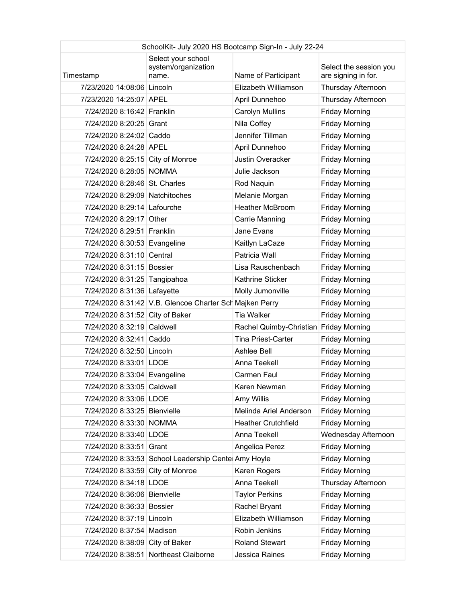| SchoolKit- July 2020 HS Bootcamp Sign-In - July 22-24 |                                                         |                                        |                                               |
|-------------------------------------------------------|---------------------------------------------------------|----------------------------------------|-----------------------------------------------|
| Timestamp                                             | Select your school<br>system/organization<br>name.      | Name of Participant                    | Select the session you<br>are signing in for. |
| 7/23/2020 14:08:06 Lincoln                            |                                                         | Elizabeth Williamson                   | Thursday Afternoon                            |
| 7/23/2020 14:25:07 APEL                               |                                                         | April Dunnehoo                         | Thursday Afternoon                            |
| 7/24/2020 8:16:42 Franklin                            |                                                         | Carolyn Mullins                        | <b>Friday Morning</b>                         |
| 7/24/2020 8:20:25 Grant                               |                                                         | Nila Coffey                            | <b>Friday Morning</b>                         |
| 7/24/2020 8:24:02 Caddo                               |                                                         | Jennifer Tillman                       | <b>Friday Morning</b>                         |
| 7/24/2020 8:24:28 APEL                                |                                                         | April Dunnehoo                         | <b>Friday Morning</b>                         |
| 7/24/2020 8:25:15 City of Monroe                      |                                                         | <b>Justin Overacker</b>                | <b>Friday Morning</b>                         |
| 7/24/2020 8:28:05 NOMMA                               |                                                         | Julie Jackson                          | <b>Friday Morning</b>                         |
| 7/24/2020 8:28:46 St. Charles                         |                                                         | Rod Naquin                             | <b>Friday Morning</b>                         |
| 7/24/2020 8:29:09 Natchitoches                        |                                                         | Melanie Morgan                         | <b>Friday Morning</b>                         |
| 7/24/2020 8:29:14 Lafourche                           |                                                         | <b>Heather McBroom</b>                 | <b>Friday Morning</b>                         |
| 7/24/2020 8:29:17 Other                               |                                                         | Carrie Manning                         | <b>Friday Morning</b>                         |
| 7/24/2020 8:29:51 Franklin                            |                                                         | Jane Evans                             | <b>Friday Morning</b>                         |
| 7/24/2020 8:30:53 Evangeline                          |                                                         | Kaitlyn LaCaze                         | <b>Friday Morning</b>                         |
| 7/24/2020 8:31:10 Central                             |                                                         | Patricia Wall                          | <b>Friday Morning</b>                         |
| 7/24/2020 8:31:15 Bossier                             |                                                         | Lisa Rauschenbach                      | <b>Friday Morning</b>                         |
| 7/24/2020 8:31:25 Tangipahoa                          |                                                         | Kathrine Sticker                       | <b>Friday Morning</b>                         |
| 7/24/2020 8:31:36 Lafayette                           |                                                         | Molly Jumonville                       | <b>Friday Morning</b>                         |
|                                                       | 7/24/2020 8:31:42 V.B. Glencoe Charter Sch Majken Perry |                                        | <b>Friday Morning</b>                         |
| 7/24/2020 8:31:52 City of Baker                       |                                                         | <b>Tia Walker</b>                      | <b>Friday Morning</b>                         |
| 7/24/2020 8:32:19 Caldwell                            |                                                         | Rachel Quimby-Christian Friday Morning |                                               |
| 7/24/2020 8:32:41 Caddo                               |                                                         | <b>Tina Priest-Carter</b>              | <b>Friday Morning</b>                         |
| 7/24/2020 8:32:50 Lincoln                             |                                                         | Ashlee Bell                            | <b>Friday Morning</b>                         |
| 7/24/2020 8:33:01 LDOE                                |                                                         | Anna Teekell                           | <b>Friday Morning</b>                         |
| 7/24/2020 8:33:04 Evangeline                          |                                                         | Carmen Faul                            | <b>Friday Morning</b>                         |
| 7/24/2020 8:33:05 Caldwell                            |                                                         | Karen Newman                           | <b>Friday Morning</b>                         |
| 7/24/2020 8:33:06 LDOE                                |                                                         | Amy Willis                             | <b>Friday Morning</b>                         |
| 7/24/2020 8:33:25 Bienvielle                          |                                                         | Melinda Ariel Anderson                 | <b>Friday Morning</b>                         |
| 7/24/2020 8:33:30 NOMMA                               |                                                         | <b>Heather Crutchfield</b>             | <b>Friday Morning</b>                         |
| 7/24/2020 8:33:40 LDOE                                |                                                         | Anna Teekell                           | Wednesday Afternoon                           |
| 7/24/2020 8:33:51 Grant                               |                                                         | Angelica Perez                         | <b>Friday Morning</b>                         |
|                                                       | 7/24/2020 8:33:53 School Leadership Cente Amy Hoyle     |                                        | <b>Friday Morning</b>                         |
| 7/24/2020 8:33:59 City of Monroe                      |                                                         | Karen Rogers                           | <b>Friday Morning</b>                         |
| 7/24/2020 8:34:18 LDOE                                |                                                         | Anna Teekell                           | Thursday Afternoon                            |
| 7/24/2020 8:36:06 Bienvielle                          |                                                         | <b>Taylor Perkins</b>                  | <b>Friday Morning</b>                         |
| 7/24/2020 8:36:33 Bossier                             |                                                         | Rachel Bryant                          | <b>Friday Morning</b>                         |
| 7/24/2020 8:37:19 Lincoln                             |                                                         | Elizabeth Williamson                   | <b>Friday Morning</b>                         |
| 7/24/2020 8:37:54 Madison                             |                                                         | Robin Jenkins                          | <b>Friday Morning</b>                         |
| 7/24/2020 8:38:09 City of Baker                       |                                                         | <b>Roland Stewart</b>                  | <b>Friday Morning</b>                         |
|                                                       | 7/24/2020 8:38:51 Northeast Claiborne                   | Jessica Raines                         | <b>Friday Morning</b>                         |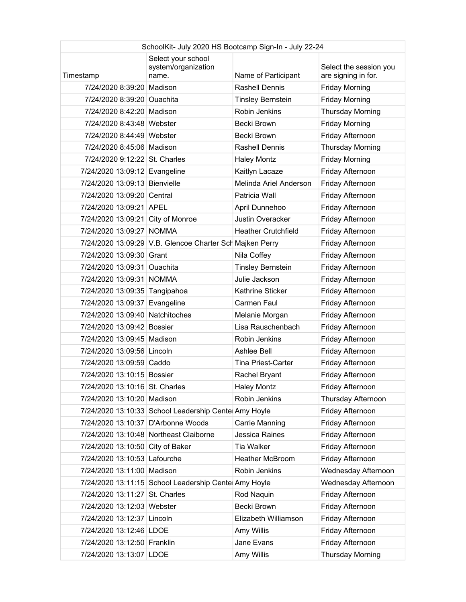| SchoolKit- July 2020 HS Bootcamp Sign-In - July 22-24 |                                                          |                            |                                               |
|-------------------------------------------------------|----------------------------------------------------------|----------------------------|-----------------------------------------------|
| Timestamp                                             | Select your school<br>system/organization<br>name.       | Name of Participant        | Select the session you<br>are signing in for. |
| 7/24/2020 8:39:20 Madison                             |                                                          | <b>Rashell Dennis</b>      | <b>Friday Morning</b>                         |
| 7/24/2020 8:39:20 Ouachita                            |                                                          | <b>Tinsley Bernstein</b>   | <b>Friday Morning</b>                         |
| 7/24/2020 8:42:20 Madison                             |                                                          | Robin Jenkins              | <b>Thursday Morning</b>                       |
| 7/24/2020 8:43:48 Webster                             |                                                          | Becki Brown                | <b>Friday Morning</b>                         |
| 7/24/2020 8:44:49 Webster                             |                                                          | Becki Brown                | Friday Afternoon                              |
| 7/24/2020 8:45:06 Madison                             |                                                          | Rashell Dennis             | <b>Thursday Morning</b>                       |
| 7/24/2020 9:12:22 St. Charles                         |                                                          | <b>Haley Montz</b>         | <b>Friday Morning</b>                         |
| 7/24/2020 13:09:12 Evangeline                         |                                                          | Kaitlyn Lacaze             | Friday Afternoon                              |
| 7/24/2020 13:09:13 Bienvielle                         |                                                          | Melinda Ariel Anderson     | Friday Afternoon                              |
| 7/24/2020 13:09:20 Central                            |                                                          | Patricia Wall              | Friday Afternoon                              |
| 7/24/2020 13:09:21 APEL                               |                                                          | April Dunnehoo             | Friday Afternoon                              |
| 7/24/2020 13:09:21 City of Monroe                     |                                                          | <b>Justin Overacker</b>    | Friday Afternoon                              |
| 7/24/2020 13:09:27 NOMMA                              |                                                          | <b>Heather Crutchfield</b> | Friday Afternoon                              |
|                                                       | 7/24/2020 13:09:29 V.B. Glencoe Charter Sch Majken Perry |                            | Friday Afternoon                              |
| 7/24/2020 13:09:30 Grant                              |                                                          | Nila Coffey                | Friday Afternoon                              |
| 7/24/2020 13:09:31 Ouachita                           |                                                          | <b>Tinsley Bernstein</b>   | Friday Afternoon                              |
| 7/24/2020 13:09:31 NOMMA                              |                                                          | Julie Jackson              | Friday Afternoon                              |
| 7/24/2020 13:09:35 Tangipahoa                         |                                                          | Kathrine Sticker           | Friday Afternoon                              |
| 7/24/2020 13:09:37 Evangeline                         |                                                          | Carmen Faul                | Friday Afternoon                              |
| 7/24/2020 13:09:40 Natchitoches                       |                                                          | Melanie Morgan             | Friday Afternoon                              |
| 7/24/2020 13:09:42 Bossier                            |                                                          | Lisa Rauschenbach          | Friday Afternoon                              |
| 7/24/2020 13:09:45 Madison                            |                                                          | Robin Jenkins              | Friday Afternoon                              |
| 7/24/2020 13:09:56 Lincoln                            |                                                          | Ashlee Bell                | Friday Afternoon                              |
| 7/24/2020 13:09:59 Caddo                              |                                                          | <b>Tina Priest-Carter</b>  | Friday Afternoon                              |
| 7/24/2020 13:10:15 Bossier                            |                                                          | Rachel Bryant              | Friday Afternoon                              |
| 7/24/2020 13:10:16 St. Charles                        |                                                          | <b>Haley Montz</b>         | Friday Afternoon                              |
| 7/24/2020 13:10:20 Madison                            |                                                          | Robin Jenkins              | Thursday Afternoon                            |
|                                                       | 7/24/2020 13:10:33 School Leadership Cente Amy Hoyle     |                            | Friday Afternoon                              |
| 7/24/2020 13:10:37 D'Arbonne Woods                    |                                                          | Carrie Manning             | Friday Afternoon                              |
|                                                       | 7/24/2020 13:10:48 Northeast Claiborne                   | Jessica Raines             | Friday Afternoon                              |
| 7/24/2020 13:10:50 City of Baker                      |                                                          | Tia Walker                 | Friday Afternoon                              |
| 7/24/2020 13:10:53 Lafourche                          |                                                          | <b>Heather McBroom</b>     | Friday Afternoon                              |
| 7/24/2020 13:11:00 Madison                            |                                                          | Robin Jenkins              | Wednesday Afternoon                           |
|                                                       | 7/24/2020 13:11:15 School Leadership Cente Amy Hoyle     |                            | Wednesday Afternoon                           |
| 7/24/2020 13:11:27 St. Charles                        |                                                          | Rod Naquin                 | Friday Afternoon                              |
| 7/24/2020 13:12:03 Webster                            |                                                          | Becki Brown                | Friday Afternoon                              |
| 7/24/2020 13:12:37 Lincoln                            |                                                          | Elizabeth Williamson       | Friday Afternoon                              |
| 7/24/2020 13:12:46 LDOE                               |                                                          | Amy Willis                 | Friday Afternoon                              |
| 7/24/2020 13:12:50 Franklin                           |                                                          | Jane Evans                 | Friday Afternoon                              |
| 7/24/2020 13:13:07 LDOE                               |                                                          | Amy Willis                 | <b>Thursday Morning</b>                       |